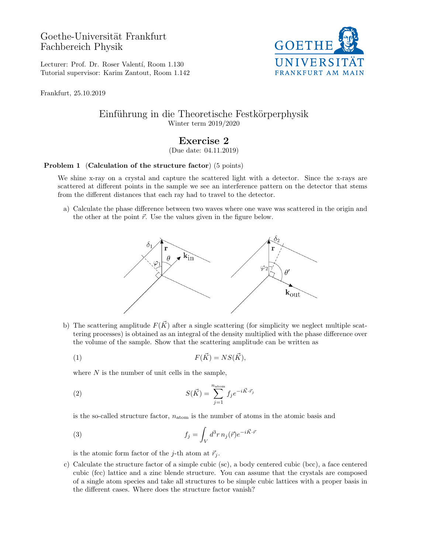Goethe-Universität Frankfurt Fachbereich Physik



Lecturer: Prof. Dr. Roser Valentí, Room 1.130 Tutorial supervisor: Karim Zantout, Room 1.142

Frankfurt, 25.10.2019

## Einführung in die Theoretische Festkörperphysik Winter term 2019/2020

## Exercise 2

(Due date: 04.11.2019)

## Problem 1 (Calculation of the structure factor) (5 points)

We shine x-ray on a crystal and capture the scattered light with a detector. Since the x-rays are scattered at different points in the sample we see an interference pattern on the detector that stems from the different distances that each ray had to travel to the detector.

a) Calculate the phase difference between two waves where one wave was scattered in the origin and the other at the point  $\vec{r}$ . Use the values given in the figure below.



b) The scattering amplitude  $F(\vec{K})$  after a single scattering (for simplicity we neglect multiple scattering processes) is obtained as an integral of the density multiplied with the phase difference over the volume of the sample. Show that the scattering amplitude can be written as

$$
F(\vec{K}) = NS(\vec{K}),
$$

where  $N$  is the number of unit cells in the sample,

(2) 
$$
S(\vec{K}) = \sum_{j=1}^{n_{\text{atom}}} f_j e^{-i\vec{K}\cdot\vec{r}_j}
$$

is the so-called structure factor,  $n_{\text{atom}}$  is the number of atoms in the atomic basis and

(3) 
$$
f_j = \int_V d^3r \, n_j(\vec{r}) e^{-i\vec{K}\cdot\vec{r}}
$$

is the atomic form factor of the j-th atom at  $\vec{r}_j$ .

c) Calculate the structure factor of a simple cubic (sc), a body centered cubic (bcc), a face centered cubic (fcc) lattice and a zinc blende structure. You can assume that the crystals are composed of a single atom species and take all structures to be simple cubic lattices with a proper basis in the different cases. Where does the structure factor vanish?